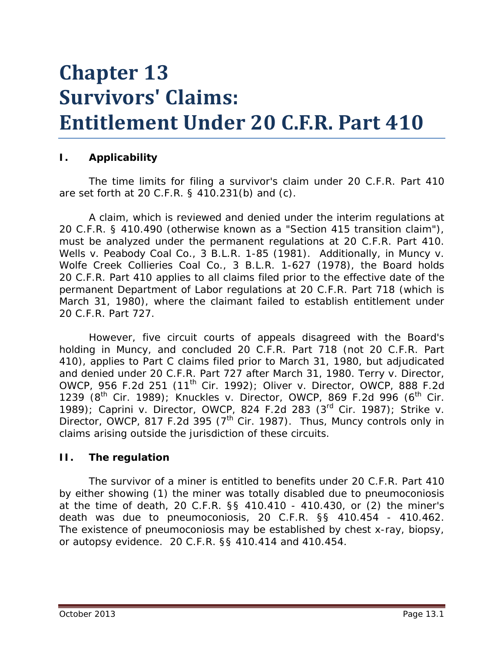# **Chapter 13 Survivors' Claims: Entitlement Under 20 C.F.R. Part 410**

#### **I. Applicability**

The time limits for filing a survivor's claim under 20 C.F.R. Part 410 are set forth at 20 C.F.R. § 410.231(b) and (c).

A claim, which is reviewed and denied under the interim regulations at 20 C.F.R. § 410.490 (otherwise known as a "Section 415 transition claim"), must be analyzed under the permanent regulations at 20 C.F.R. Part 410. *Wells v. Peabody Coal Co.*, 3 B.L.R. 1-85 (1981). Additionally, in *Muncy v. Wolfe Creek Collieries Coal Co.*, 3 B.L.R. 1-627 (1978), the Board holds 20 C.F.R. Part 410 applies to all claims filed prior to the effective date of the permanent Department of Labor regulations at 20 C.F.R. Part 718 (which is March 31, 1980), where the claimant failed to establish entitlement under 20 C.F.R. Part 727.

However, five circuit courts of appeals disagreed with the Board's holding in *Muncy*, and concluded 20 C.F.R. Part 718 (not 20 C.F.R. Part 410), applies to Part C claims filed prior to March 31, 1980, but adjudicated and denied under 20 C.F.R. Part 727 after March 31, 1980. *Terry v. Director, OWCP*, 956 F.2d 251 (11<sup>th</sup> Cir. 1992); *Oliver v. Director, OWCP*, 888 F.2d 1239 (8th Cir. 1989); *Knuckles v. Director, OWCP*, 869 F.2d 996 (6th Cir. 1989); *Caprini v. Director, OWCP*, 824 F.2d 283 (3rd Cir. 1987); *Strike v. Director, OWCP*, 817 F.2d 395 (7<sup>th</sup> Cir. 1987). Thus, *Muncy* controls only in claims arising outside the jurisdiction of these circuits.

#### **II. The regulation**

The survivor of a miner is entitled to benefits under 20 C.F.R. Part 410 by either showing (1) the miner was totally disabled due to pneumoconiosis at the time of death, 20 C.F.R. §§ 410.410 - 410.430, or (2) the miner's death was due to pneumoconiosis, 20 C.F.R. §§ 410.454 - 410.462. The existence of pneumoconiosis may be established by chest x-ray, biopsy, or autopsy evidence. 20 C.F.R. §§ 410.414 and 410.454.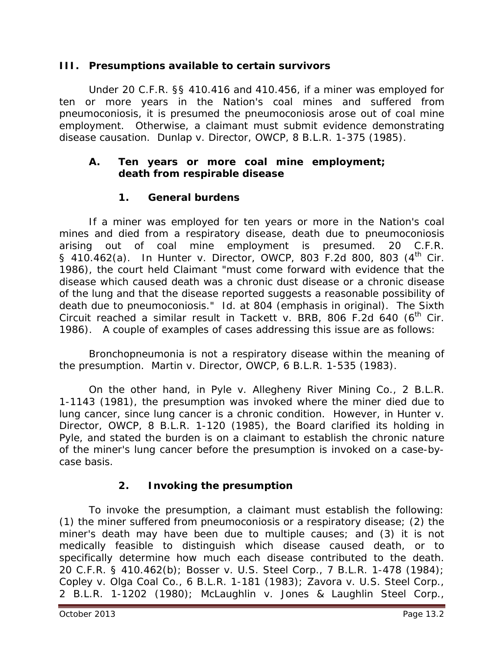#### **III. Presumptions available to certain survivors**

Under 20 C.F.R. §§ 410.416 and 410.456, if a miner was employed for ten or more years in the Nation's coal mines and suffered from pneumoconiosis, it is presumed the pneumoconiosis arose out of coal mine employment. Otherwise, a claimant must submit evidence demonstrating disease causation. *Dunlap v. Director, OWCP*, 8 B.L.R. 1-375 (1985).

#### **A. Ten years or more coal mine employment; death from respirable disease**

## **1. General burdens**

If a miner was employed for ten years or more in the Nation's coal mines and died from a respiratory disease, death due to pneumoconiosis arising out of coal mine employment is presumed. 20 C.F.R. § 410.462(a). In *Hunter v. Director, OWCP*, 803 F.2d 800, 803 (4<sup>th</sup> Cir. 1986), the court held Claimant "must come forward with evidence that the disease which caused death was a chronic dust disease or a chronic disease of the lung *and* that the disease reported suggests a reasonable possibility of death due to pneumoconiosis." *Id*. at 804 (emphasis in original). The Sixth Circuit reached a similar result in *Tackett v. BRB*, 806 F.2d 640 (6<sup>th</sup> Cir. 1986). A couple of examples of cases addressing this issue are as follows:

Bronchopneumonia is not a respiratory disease within the meaning of the presumption. *Martin v. Director, OWCP*, 6 B.L.R. 1-535 (1983).

On the other hand, in *Pyle v. Allegheny River Mining Co*., 2 B.L.R. 1-1143 (1981), the presumption was invoked where the miner died due to lung cancer, since lung cancer is a chronic condition. However, in *Hunter v. Director, OWCP*, 8 B.L.R. 1-120 (1985), the Board clarified its holding in *Pyle,* and stated the burden is on a claimant to establish the chronic nature of the miner's lung cancer before the presumption is invoked on a case-bycase basis.

## **2. Invoking the presumption**

To invoke the presumption, a claimant must establish the following: (1) the miner suffered from pneumoconiosis or a respiratory disease; (2) the miner's death may have been due to multiple causes; and (3) it is not medically feasible to distinguish which disease caused death, or to specifically determine how much each disease contributed to the death. 20 C.F.R. § 410.462(b); *Bosser v. U.S. Steel Corp*., 7 B.L.R. 1-478 (1984); *Copley v. Olga Coal C*o., 6 B.L.R. 1-181 (1983); *Zavora v. U.S. Steel Corp*., 2 B.L.R. 1-1202 (1980); *McLaughlin v. Jones & Laughlin Steel Corp*.,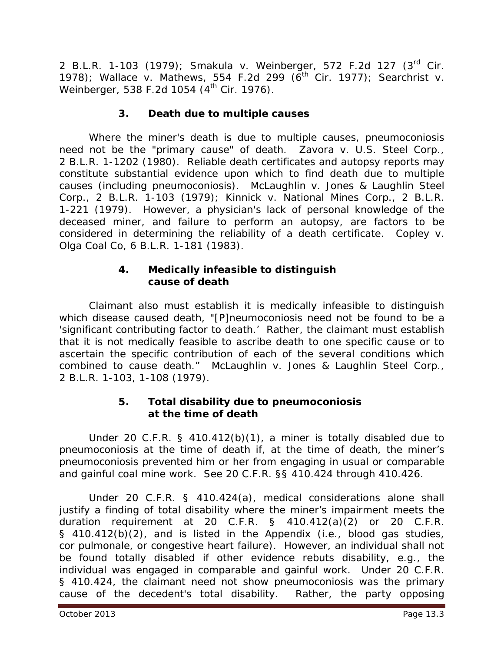2 B.L.R. 1-103 (1979); *Smakula v. Weinberger*, 572 F.2d 127 (3rd Cir. 1978); *Wallace v. Mathews*, 554 F.2d 299 (6th Cir. 1977); *Searchrist v. Weinberger,* 538 F.2d 1054 (4<sup>th</sup> Cir. 1976).

## **3. Death due to multiple causes**

Where the miner's death is due to multiple causes, pneumoconiosis need not be the "primary cause" of death. *Zavora v. U.S. Steel Corp*., 2 B.L.R. 1-1202 (1980). Reliable death certificates and autopsy reports may constitute substantial evidence upon which to find death due to multiple causes (including pneumoconiosis). *McLaughlin v. Jones & Laughlin Steel Corp*., 2 B.L.R. 1-103 (1979); *Kinnick v. National Mines Corp*., 2 B.L.R. 1-221 (1979). However, a physician's lack of personal knowledge of the deceased miner, and failure to perform an autopsy, are factors to be considered in determining the reliability of a death certificate. *Copley v. Olga Coal Co*, 6 B.L.R. 1-181 (1983).

#### **4. Medically infeasible to distinguish cause of death**

Claimant also must establish it is medically infeasible to distinguish which disease caused death, "[P]neumoconiosis need not be found to be a 'significant contributing factor to death.' Rather, the claimant must establish that it is not medically feasible to ascribe death to one specific cause or to ascertain the specific contribution of each of the several conditions which combined to cause death." *McLaughlin v. Jones & Laughlin Steel Corp*., 2 B.L.R. 1-103, 1-108 (1979).

### **5. Total disability due to pneumoconiosis at the time of death**

Under 20 C.F.R. § 410.412(b)(1), a miner is totally disabled due to pneumoconiosis at the time of death if, at the time of death, the miner's pneumoconiosis prevented him or her from engaging in usual or comparable and gainful coal mine work. *See* 20 C.F.R. §§ 410.424 through 410.426.

Under 20 C.F.R. § 410.424(a), medical considerations alone shall justify a finding of total disability where the miner's impairment meets the duration requirement at 20 C.F.R. § 410.412(a)(2) or 20 C.F.R. § 410.412(b)(2), and is listed in the Appendix (*i.e.*, blood gas studies, cor pulmonale, or congestive heart failure). However, an individual shall not be found totally disabled if other evidence rebuts disability, *e.g.*, the individual was engaged in comparable and gainful work. Under 20 C.F.R. § 410.424, the claimant need not show pneumoconiosis was the primary cause of the decedent's total disability. Rather, the party opposing